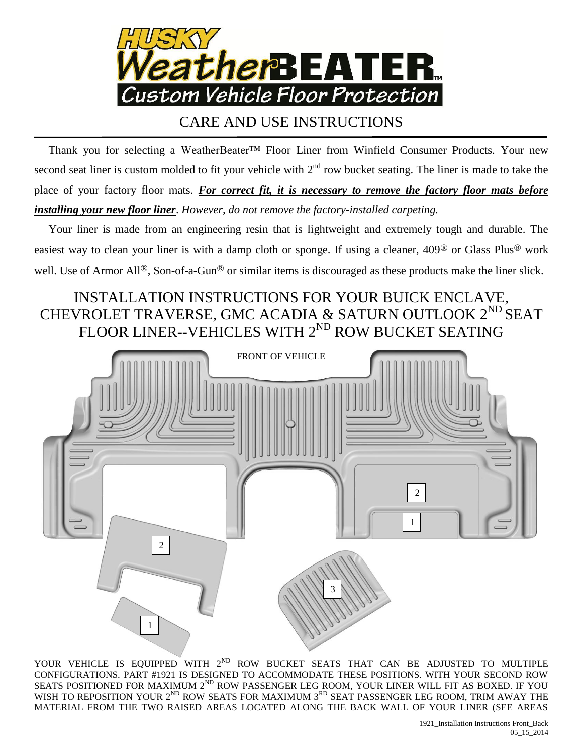

## CARE AND USE INSTRUCTIONS

 Thank you for selecting a WeatherBeater™ Floor Liner from Winfield Consumer Products. Your new second seat liner is custom molded to fit your vehicle with  $2<sup>nd</sup>$  row bucket seating. The liner is made to take the place of your factory floor mats. For correct fit, it is necessary to remove the factory floor mats before *installing your new floor liner*. *However, do not remove the factory-installed carpeting.*

 Your liner is made from an engineering resin that is lightweight and extremely tough and durable. The easiest way to clean your liner is with a damp cloth or sponge. If using a cleaner, 409® or Glass Plus® work well. Use of Armor All<sup>®</sup>, Son-of-a-Gun<sup>®</sup> or similar items is discouraged as these products make the liner slick.

## INSTALLATION INSTRUCTIONS FOR YOUR BUICK ENCLAVE, CHEVROLET TRAVERSE, GMC ACADIA & SATURN OUTLOOK  $2^{\text{ND}}$  SEAT FLOOR LINER--VEHICLES WITH  $2^{\rm ND}$  ROW BUCKET SEATING



YOUR VEHICLE IS EQUIPPED WITH  $2^{ND}$  ROW BUCKET SEATS THAT CAN BE ADJUSTED TO MULTIPLE CONFIGURATIONS. PART #1921 IS DESIGNED TO ACCOMMODATE THESE POSITIONS. WITH YOUR SECOND ROW SEATS POSITIONED FOR MAXIMUM  $2^{\text{ND}}$  ROW PASSENGER LEG ROOM, YOUR LINER WILL FIT AS BOXED. IF YOU WISH TO REPOSITION YOUR  $2^{ND}$  ROW SEATS FOR MAXIMUM  $3^{RD}$  SEAT PASSENGER LEG ROOM, TRIM AWAY THE MATERIAL FROM THE TWO RAISED AREAS LOCATED ALONG THE BACK WALL OF YOUR LINER (SEE AREAS